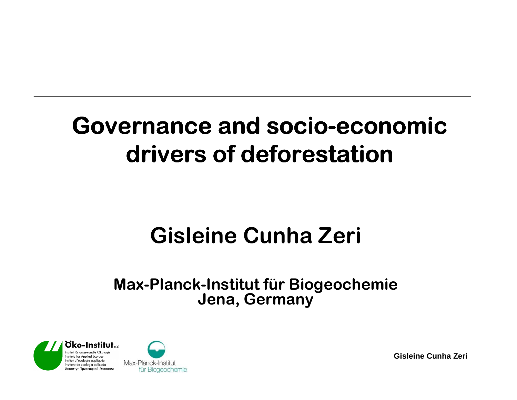## **Governance and socio-economic drivers of deforestation**

#### **Gisleine Cunha Zeri**

#### **Max-Planck-Institut für Biogeochemie Jena, Germany**



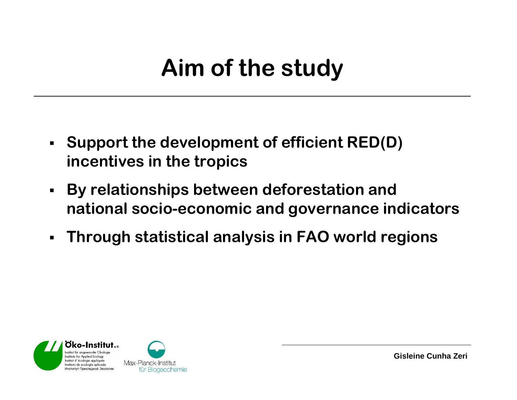### **Aim of the study**

- **Support the development of efficient RED(D) incentives in the tropics**
- **By relationships between deforestation and national socio-economic and governance indicators**
- **Through statistical analysis in FAO world regions**



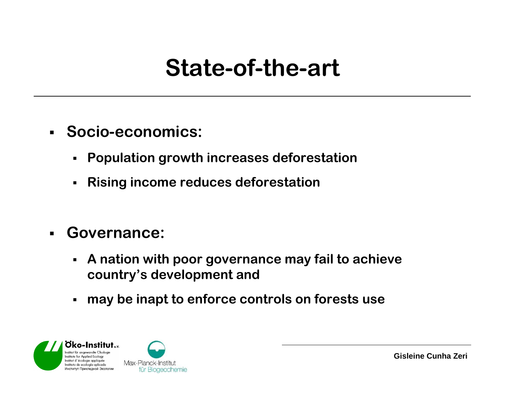#### **State-of-the-art**

- **Socio-economics:**
	- $\blacksquare$ **Population growth increases deforestation**
	- $\blacksquare$ **Rising income reduces deforestation**
- $\blacksquare$  **Governance:**
	- $\blacksquare$  **A nation with poor governance may fail to achieve country's development and**
	- $\blacksquare$ **may be inapt to enforce controls on forests use**



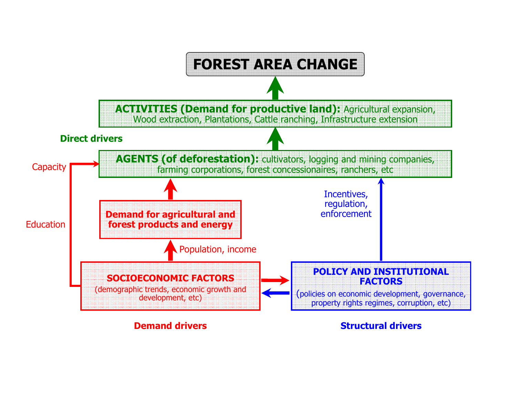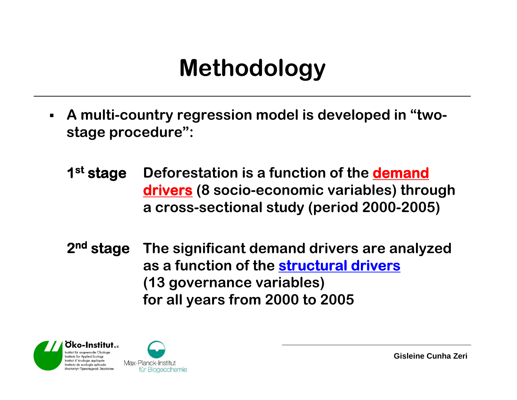#### **Methodology**

- $\blacksquare$  **A multi-country regression model is developed in "twostage procedure":**
	- **<sup>1</sup>st stage Deforestation is a function of the demand drivers (8 socio-economic variables) through a cross-sectional study (period 2000-2005)**
	- **2nd stage The significant demand drivers are analyzed as a function of the structural drivers(13 governance variables) for all years from 2000 to 2005**



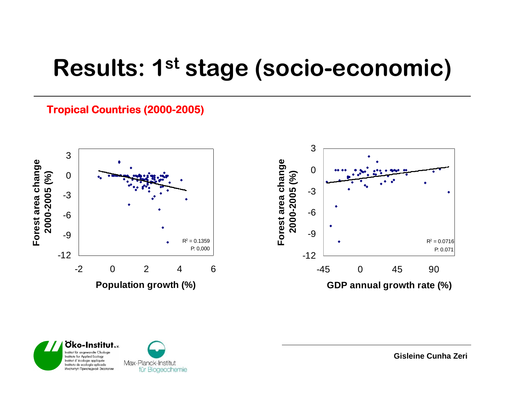#### **Results: 1st stage (socio-economic)**

#### **Tropical Countries (2000- (2000-2005)**



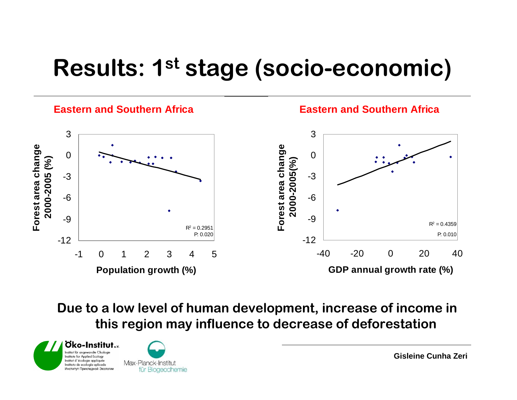### **Results: 1st stage (socio-economic)**



**Due to a low level of human development, increase of income in this region may influence to decrease of deforestation**



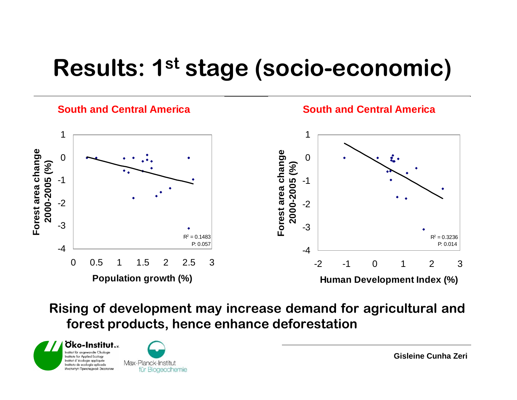### **Results: 1st stage (socio-economic)**



**Rising of development may increase demand for agricultural and forest products, hence enhance deforestation**



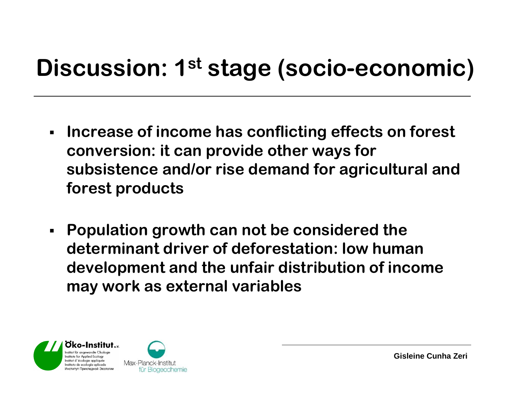## **Discussion: 1st stage (socio-economic)**

- $\blacksquare$  **Increase of income has conflicting effects on forest conversion: it can provide other ways for subsistence and/or rise demand for agricultural andforest products**
- **Population growth can not be considered the determinant driver of deforestation: low human development and the unfair distribution of income may work as external variables**



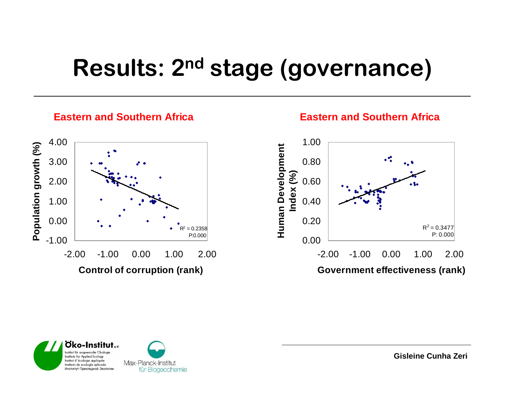# **Results: 2nd stage (governance)**



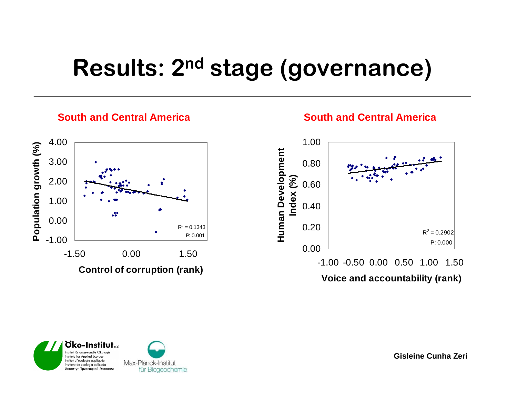# **Results: 2nd stage (governance)**



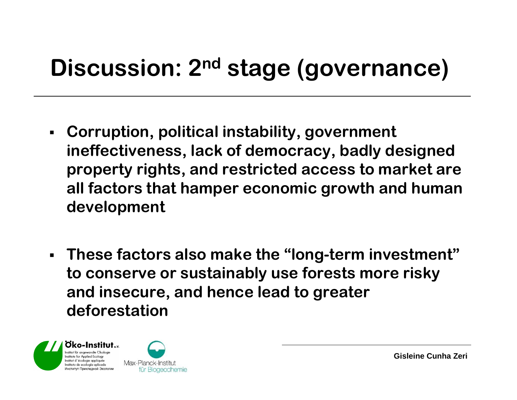# **Discussion: 2nd stage (governance)**

- **Corruption, political instability, government ineffectiveness, lack of democracy, badly designed property rights, and restricted access to market are all factors that hamper economic growth and human development**
- **These factors also make the "long-term investment"to conserve or sustainably use forests more risky and insecure, and hence lead to greater deforestation**



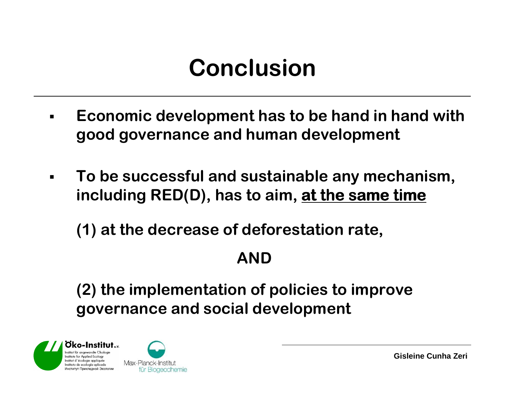#### **Conclusion**

- $\blacksquare$  **Economic development has to be hand in hand with good governance and human development**
- $\blacksquare$  **To be successful and sustainable any mechanism, including RED(D), has to aim, at the same time the**

**(1) at the decrease of deforestation rate,**

#### **AND**

**(2) the implementation of policies to improve governance and social development**



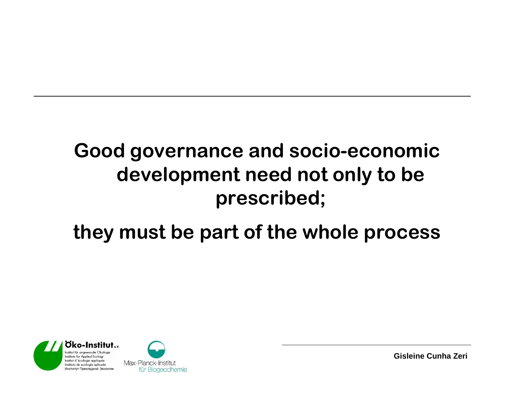#### **Good governance and socio-economic development need not only to be prescribed;**

#### **they must be part of the whole process**